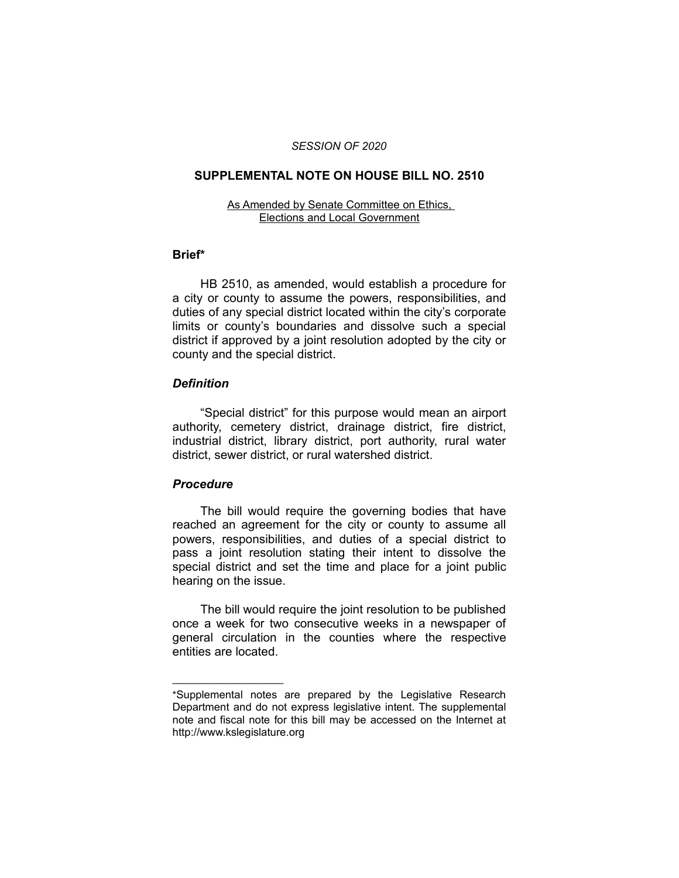#### *SESSION OF 2020*

# **SUPPLEMENTAL NOTE ON HOUSE BILL NO. 2510**

#### As Amended by Senate Committee on Ethics, Elections and Local Government

#### **Brief\***

HB 2510, as amended, would establish a procedure for a city or county to assume the powers, responsibilities, and duties of any special district located within the city's corporate limits or county's boundaries and dissolve such a special district if approved by a joint resolution adopted by the city or county and the special district.

## *Definition*

"Special district" for this purpose would mean an airport authority, cemetery district, drainage district, fire district, industrial district, library district, port authority, rural water district, sewer district, or rural watershed district.

## *Procedure*

 $\overline{\phantom{a}}$  , where  $\overline{\phantom{a}}$  , where  $\overline{\phantom{a}}$ 

The bill would require the governing bodies that have reached an agreement for the city or county to assume all powers, responsibilities, and duties of a special district to pass a joint resolution stating their intent to dissolve the special district and set the time and place for a joint public hearing on the issue.

The bill would require the joint resolution to be published once a week for two consecutive weeks in a newspaper of general circulation in the counties where the respective entities are located.

<sup>\*</sup>Supplemental notes are prepared by the Legislative Research Department and do not express legislative intent. The supplemental note and fiscal note for this bill may be accessed on the Internet at http://www.kslegislature.org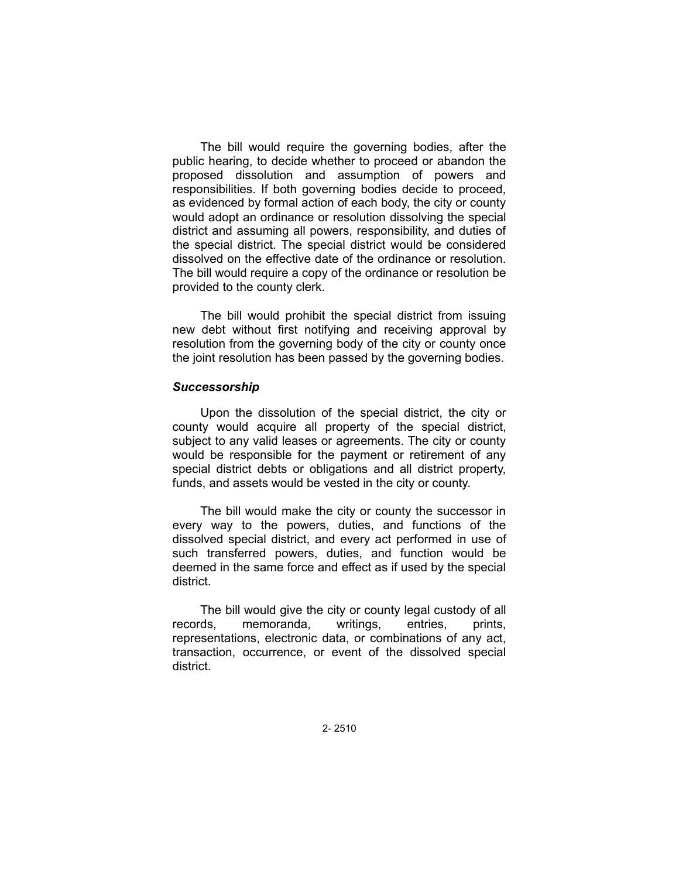The bill would require the governing bodies, after the public hearing, to decide whether to proceed or abandon the proposed dissolution and assumption of powers and responsibilities. If both governing bodies decide to proceed, as evidenced by formal action of each body, the city or county would adopt an ordinance or resolution dissolving the special district and assuming all powers, responsibility, and duties of the special district. The special district would be considered dissolved on the effective date of the ordinance or resolution. The bill would require a copy of the ordinance or resolution be provided to the county clerk.

The bill would prohibit the special district from issuing new debt without first notifying and receiving approval by resolution from the governing body of the city or county once the joint resolution has been passed by the governing bodies.

## *Successorship*

Upon the dissolution of the special district, the city or county would acquire all property of the special district, subject to any valid leases or agreements. The city or county would be responsible for the payment or retirement of any special district debts or obligations and all district property, funds, and assets would be vested in the city or county.

The bill would make the city or county the successor in every way to the powers, duties, and functions of the dissolved special district, and every act performed in use of such transferred powers, duties, and function would be deemed in the same force and effect as if used by the special district.

The bill would give the city or county legal custody of all records, memoranda, writings, entries, prints, representations, electronic data, or combinations of any act, transaction, occurrence, or event of the dissolved special district.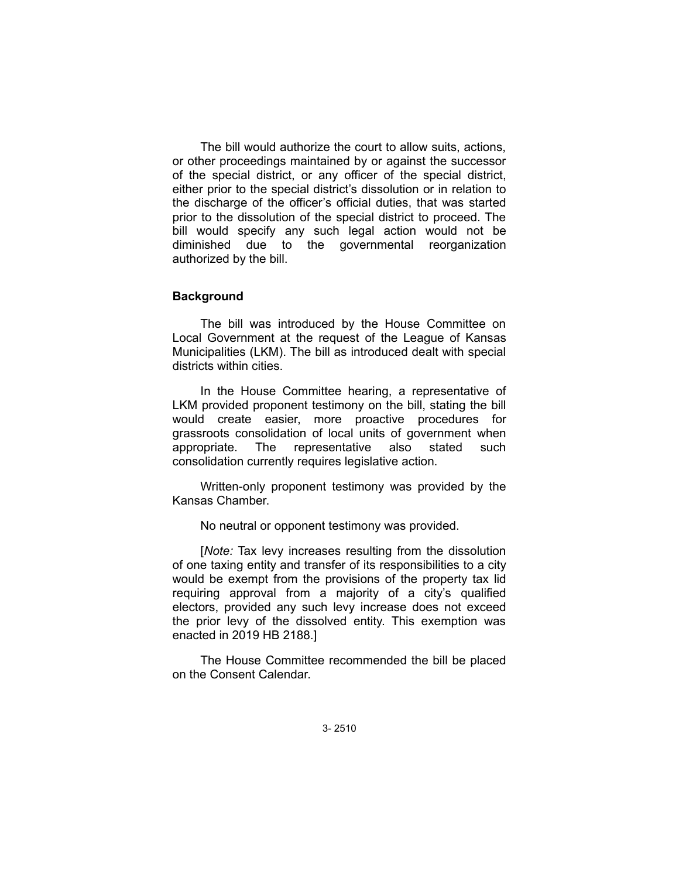The bill would authorize the court to allow suits, actions, or other proceedings maintained by or against the successor of the special district, or any officer of the special district, either prior to the special district's dissolution or in relation to the discharge of the officer's official duties, that was started prior to the dissolution of the special district to proceed. The bill would specify any such legal action would not be diminished due to the governmental reorganization authorized by the bill.

## **Background**

The bill was introduced by the House Committee on Local Government at the request of the League of Kansas Municipalities (LKM). The bill as introduced dealt with special districts within cities.

In the House Committee hearing, a representative of LKM provided proponent testimony on the bill, stating the bill would create easier, more proactive procedures for grassroots consolidation of local units of government when appropriate. The representative also stated such consolidation currently requires legislative action.

Written-only proponent testimony was provided by the Kansas Chamber.

No neutral or opponent testimony was provided.

[*Note:* Tax levy increases resulting from the dissolution of one taxing entity and transfer of its responsibilities to a city would be exempt from the provisions of the property tax lid requiring approval from a majority of a city's qualified electors, provided any such levy increase does not exceed the prior levy of the dissolved entity. This exemption was enacted in 2019 HB 2188.]

The House Committee recommended the bill be placed on the Consent Calendar.